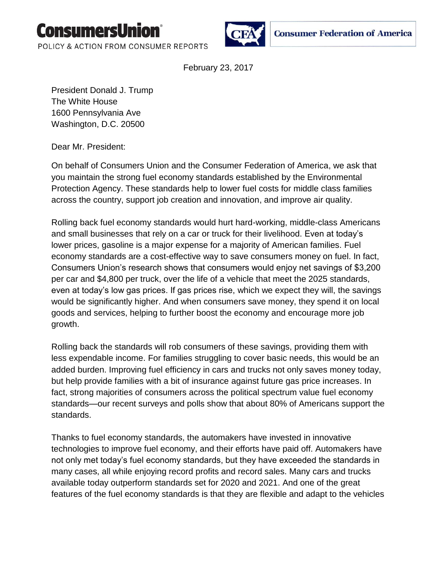

POLICY & ACTION FROM CONSUMER REPORTS



**Consumer Federation of America** 

February 23, 2017

President Donald J. Trump The White House 1600 Pennsylvania Ave Washington, D.C. 20500

Dear Mr. President:

On behalf of Consumers Union and the Consumer Federation of America, we ask that you maintain the strong fuel economy standards established by the Environmental Protection Agency. These standards help to lower fuel costs for middle class families across the country, support job creation and innovation, and improve air quality.

Rolling back fuel economy standards would hurt hard-working, middle-class Americans and small businesses that rely on a car or truck for their livelihood. Even at today's lower prices, gasoline is a major expense for a majority of American families. Fuel economy standards are a cost-effective way to save consumers money on fuel. In fact, Consumers Union's research shows that consumers would enjoy net savings of \$3,200 per car and \$4,800 per truck, over the life of a vehicle that meet the 2025 standards, even at today's low gas prices. If gas prices rise, which we expect they will, the savings would be significantly higher. And when consumers save money, they spend it on local goods and services, helping to further boost the economy and encourage more job growth.

Rolling back the standards will rob consumers of these savings, providing them with less expendable income. For families struggling to cover basic needs, this would be an added burden. Improving fuel efficiency in cars and trucks not only saves money today, but help provide families with a bit of insurance against future gas price increases. In fact, strong majorities of consumers across the political spectrum value fuel economy standards—our recent surveys and polls show that about 80% of Americans support the standards.

Thanks to fuel economy standards, the automakers have invested in innovative technologies to improve fuel economy, and their efforts have paid off. Automakers have not only met today's fuel economy standards, but they have exceeded the standards in many cases, all while enjoying record profits and record sales. Many cars and trucks available today outperform standards set for 2020 and 2021. And one of the great features of the fuel economy standards is that they are flexible and adapt to the vehicles